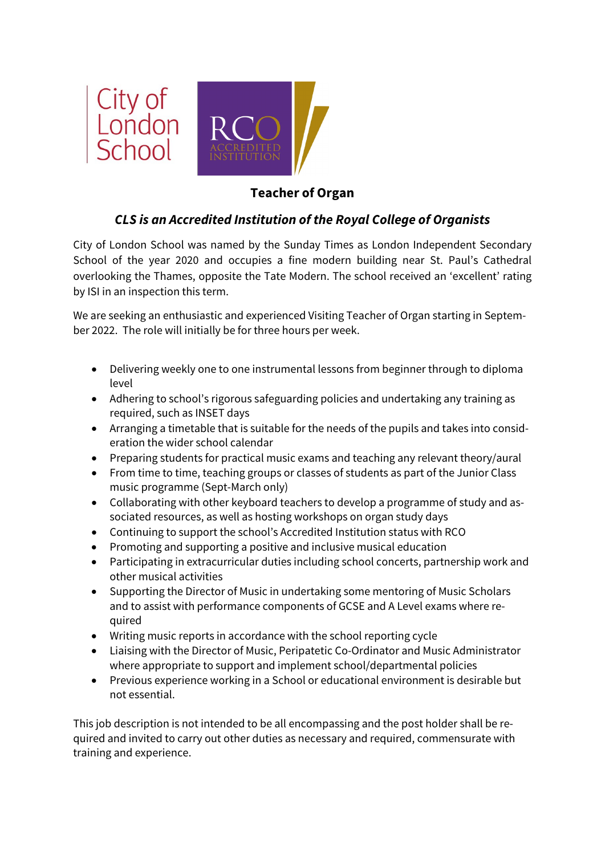

## **Teacher of Organ**

## *CLS is an Accredited Institution of the Royal College of Organists*

City of London School was named by the Sunday Times as London Independent Secondary School of the year 2020 and occupies a fine modern building near St. Paul's Cathedral overlooking the Thames, opposite the Tate Modern. The school received an 'excellent' rating by ISI in an inspection this term.

We are seeking an enthusiastic and experienced Visiting Teacher of Organ starting in September 2022. The role will initially be for three hours per week.

- Delivering weekly one to one instrumental lessons from beginner through to diploma level
- Adhering to school's rigorous safeguarding policies and undertaking any training as required, such as INSET days
- Arranging a timetable that is suitable for the needs of the pupils and takes into consideration the wider school calendar
- Preparing students for practical music exams and teaching any relevant theory/aural
- From time to time, teaching groups or classes of students as part of the Junior Class music programme (Sept-March only)
- Collaborating with other keyboard teachers to develop a programme of study and associated resources, as well as hosting workshops on organ study days
- Continuing to support the school's Accredited Institution status with RCO
- Promoting and supporting a positive and inclusive musical education
- Participating in extracurricular duties including school concerts, partnership work and other musical activities
- Supporting the Director of Music in undertaking some mentoring of Music Scholars and to assist with performance components of GCSE and A Level exams where required
- Writing music reports in accordance with the school reporting cycle
- Liaising with the Director of Music, Peripatetic Co-Ordinator and Music Administrator where appropriate to support and implement school/departmental policies
- Previous experience working in a School or educational environment is desirable but not essential.

This job description is not intended to be all encompassing and the post holder shall be required and invited to carry out other duties as necessary and required, commensurate with training and experience.